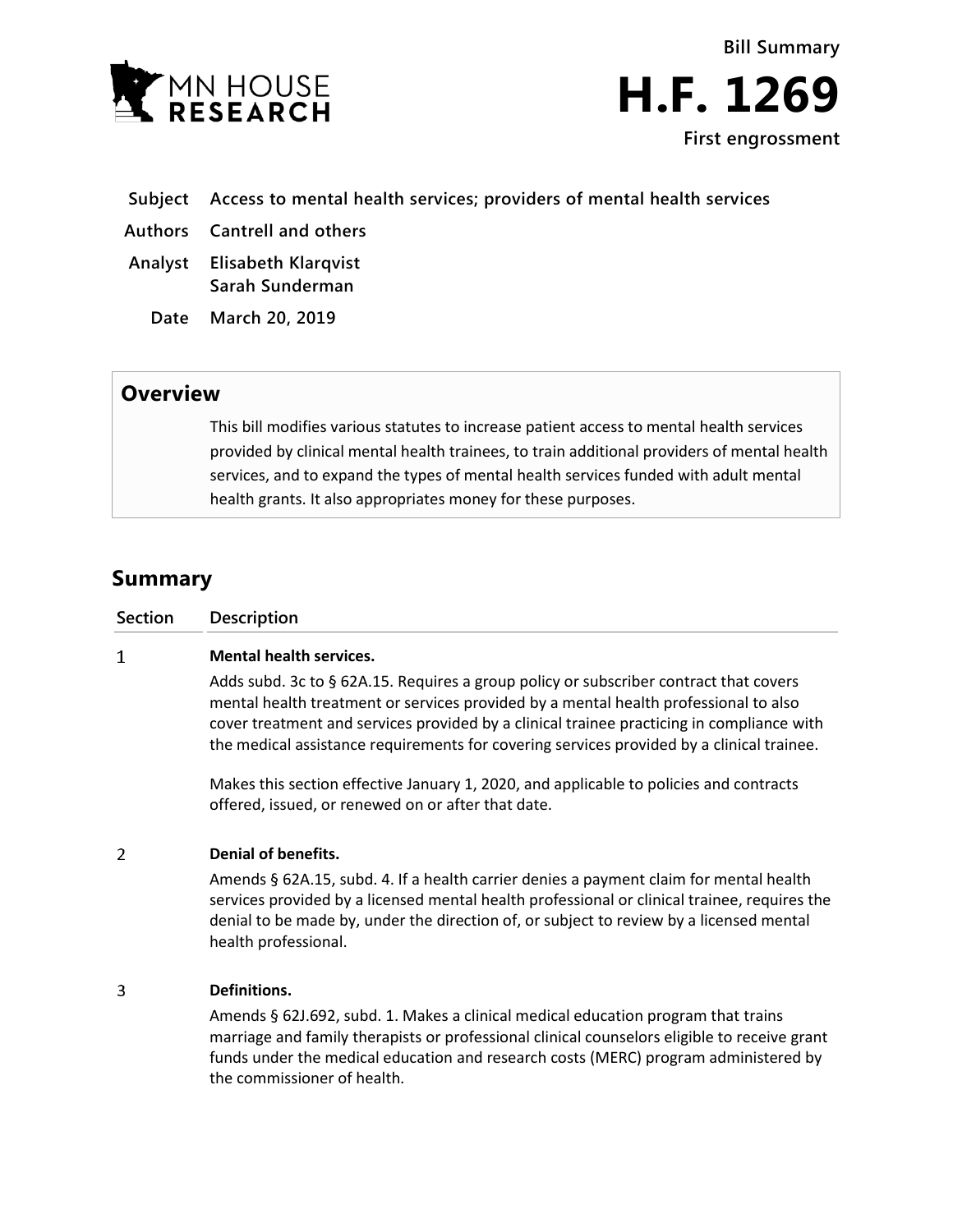

**Bill Summary H.F. 1269 First engrossment**

- **Subject Access to mental health services; providers of mental health services**
- **Authors Cantrell and others**
- **Analyst Elisabeth Klarqvist Sarah Sunderman**
	- **Date March 20, 2019**

## **Overview**

This bill modifies various statutes to increase patient access to mental health services provided by clinical mental health trainees, to train additional providers of mental health services, and to expand the types of mental health services funded with adult mental health grants. It also appropriates money for these purposes.

# **Summary**

| Section | Description                    |
|---------|--------------------------------|
|         | <b>Mental health services.</b> |

Adds subd. 3c to § 62A.15. Requires a group policy or subscriber contract that covers mental health treatment or services provided by a mental health professional to also cover treatment and services provided by a clinical trainee practicing in compliance with the medical assistance requirements for covering services provided by a clinical trainee.

Makes this section effective January 1, 2020, and applicable to policies and contracts offered, issued, or renewed on or after that date.

#### $\overline{2}$ **Denial of benefits.**

Amends § 62A.15, subd. 4. If a health carrier denies a payment claim for mental health services provided by a licensed mental health professional or clinical trainee, requires the denial to be made by, under the direction of, or subject to review by a licensed mental health professional.

#### $\overline{3}$ **Definitions.**

Amends § 62J.692, subd. 1. Makes a clinical medical education program that trains marriage and family therapists or professional clinical counselors eligible to receive grant funds under the medical education and research costs (MERC) program administered by the commissioner of health.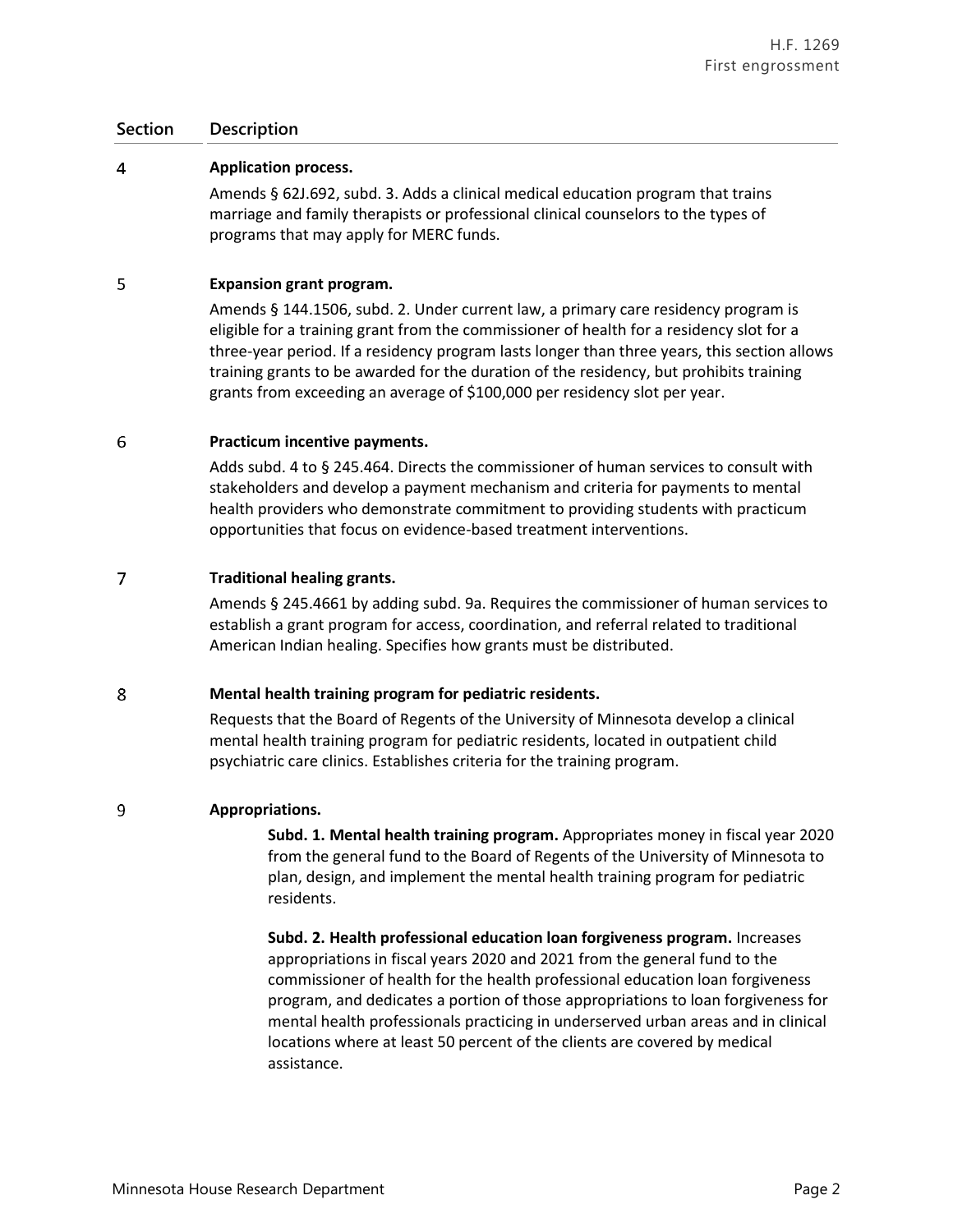### **Section Description**

#### $\overline{4}$ **Application process.**

Amends § 62J.692, subd. 3. Adds a clinical medical education program that trains marriage and family therapists or professional clinical counselors to the types of programs that may apply for MERC funds.

#### 5 **Expansion grant program.**

Amends § 144.1506, subd. 2. Under current law, a primary care residency program is eligible for a training grant from the commissioner of health for a residency slot for a three-year period. If a residency program lasts longer than three years, this section allows training grants to be awarded for the duration of the residency, but prohibits training grants from exceeding an average of \$100,000 per residency slot per year.

#### 6 **Practicum incentive payments.**

Adds subd. 4 to § 245.464. Directs the commissioner of human services to consult with stakeholders and develop a payment mechanism and criteria for payments to mental health providers who demonstrate commitment to providing students with practicum opportunities that focus on evidence-based treatment interventions.

#### $\overline{7}$ **Traditional healing grants.**

Amends § 245.4661 by adding subd. 9a. Requires the commissioner of human services to establish a grant program for access, coordination, and referral related to traditional American Indian healing. Specifies how grants must be distributed.

#### 8 **Mental health training program for pediatric residents.**

Requests that the Board of Regents of the University of Minnesota develop a clinical mental health training program for pediatric residents, located in outpatient child psychiatric care clinics. Establishes criteria for the training program.

#### 9 **Appropriations.**

**Subd. 1. Mental health training program.** Appropriates money in fiscal year 2020 from the general fund to the Board of Regents of the University of Minnesota to plan, design, and implement the mental health training program for pediatric residents.

**Subd. 2. Health professional education loan forgiveness program.** Increases appropriations in fiscal years 2020 and 2021 from the general fund to the commissioner of health for the health professional education loan forgiveness program, and dedicates a portion of those appropriations to loan forgiveness for mental health professionals practicing in underserved urban areas and in clinical locations where at least 50 percent of the clients are covered by medical assistance.